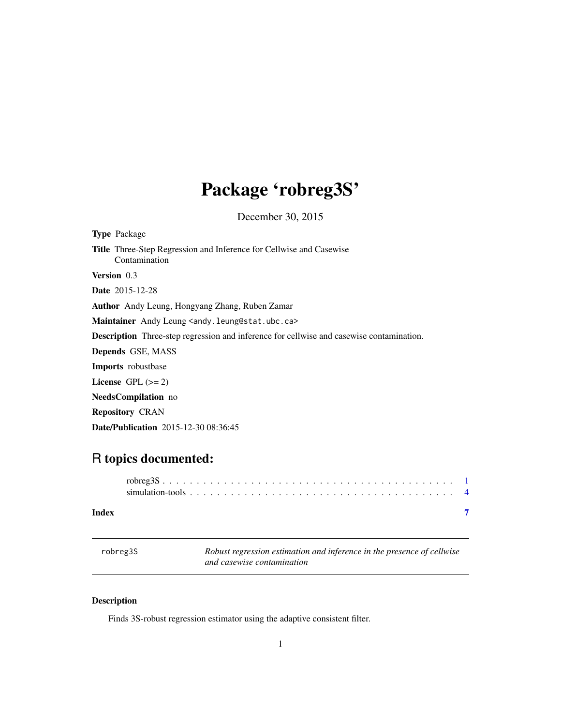# <span id="page-0-0"></span>Package 'robreg3S'

December 30, 2015

<span id="page-0-1"></span>

| <b>Type</b> Package                                                                             |  |  |
|-------------------------------------------------------------------------------------------------|--|--|
| <b>Title</b> Three-Step Regression and Inference for Cellwise and Casewise<br>Contamination     |  |  |
| <b>Version</b> 0.3                                                                              |  |  |
| <b>Date</b> 2015-12-28                                                                          |  |  |
| <b>Author</b> Andy Leung, Hongyang Zhang, Ruben Zamar                                           |  |  |
| Maintainer Andy Leung <andy.leung@stat.ubc.ca></andy.leung@stat.ubc.ca>                         |  |  |
| <b>Description</b> Three-step regression and inference for cellwise and casewise contamination. |  |  |
| <b>Depends</b> GSE, MASS                                                                        |  |  |
| <b>Imports</b> robustbase                                                                       |  |  |
| License $GPL (= 2)$                                                                             |  |  |
| <b>NeedsCompilation</b> no                                                                      |  |  |
| <b>Repository CRAN</b>                                                                          |  |  |
| <b>Date/Publication</b> 2015-12-30 08:36:45                                                     |  |  |
|                                                                                                 |  |  |

# R topics documented:

| Index |  |
|-------|--|

# robreg3S *Robust regression estimation and inference in the presence of cellwise and casewise contamination*

# Description

Finds 3S-robust regression estimator using the adaptive consistent filter.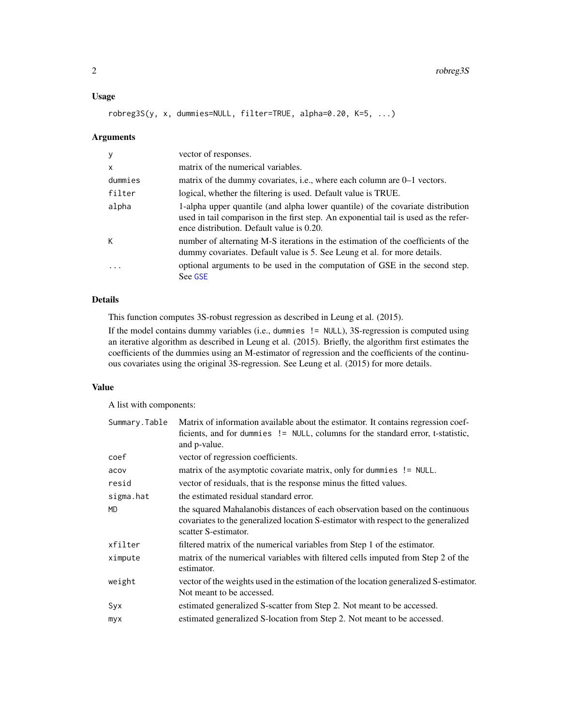# <span id="page-1-0"></span>Usage

robreg3S(y, x, dummies=NULL, filter=TRUE, alpha=0.20, K=5, ...)

#### Arguments

| y            | vector of responses.                                                                                                                                                                                                 |
|--------------|----------------------------------------------------------------------------------------------------------------------------------------------------------------------------------------------------------------------|
| $\mathsf{x}$ | matrix of the numerical variables.                                                                                                                                                                                   |
| dummies      | matrix of the dummy covariates, i.e., where each column are 0–1 vectors.                                                                                                                                             |
| filter       | logical, whether the filtering is used. Default value is TRUE.                                                                                                                                                       |
| alpha        | 1-alpha upper quantile (and alpha lower quantile) of the covariate distribution<br>used in tail comparison in the first step. An exponential tail is used as the refer-<br>ence distribution. Default value is 0.20. |
| К            | number of alternating M-S iterations in the estimation of the coefficients of the<br>dummy covariates. Default value is 5. See Leung et al. for more details.                                                        |
| $\cdot$      | optional arguments to be used in the computation of GSE in the second step.<br>See GSE                                                                                                                               |

# Details

This function computes 3S-robust regression as described in Leung et al. (2015).

If the model contains dummy variables (i.e., dummies != NULL), 3S-regression is computed using an iterative algorithm as described in Leung et al. (2015). Briefly, the algorithm first estimates the coefficients of the dummies using an M-estimator of regression and the coefficients of the continuous covariates using the original 3S-regression. See Leung et al. (2015) for more details.

#### Value

A list with components:

| Summary.Table | Matrix of information available about the estimator. It contains regression coef-<br>ficients, and for dummies != NULL, columns for the standard error, t-statistic,<br>and p-value.        |
|---------------|---------------------------------------------------------------------------------------------------------------------------------------------------------------------------------------------|
| coef          | vector of regression coefficients.                                                                                                                                                          |
| acov          | matrix of the asymptotic covariate matrix, only for dummies != NULL.                                                                                                                        |
| resid         | vector of residuals, that is the response minus the fitted values.                                                                                                                          |
| sigma.hat     | the estimated residual standard error.                                                                                                                                                      |
| MD            | the squared Mahalanobis distances of each observation based on the continuous<br>covariates to the generalized location S-estimator with respect to the generalized<br>scatter S-estimator. |
| xfilter       | filtered matrix of the numerical variables from Step 1 of the estimator.                                                                                                                    |
| ximpute       | matrix of the numerical variables with filtered cells imputed from Step 2 of the<br>estimator.                                                                                              |
| weight        | vector of the weights used in the estimation of the location generalized S-estimator.<br>Not meant to be accessed.                                                                          |
| Syx           | estimated generalized S-scatter from Step 2. Not meant to be accessed.                                                                                                                      |
| myx           | estimated generalized S-location from Step 2. Not meant to be accessed.                                                                                                                     |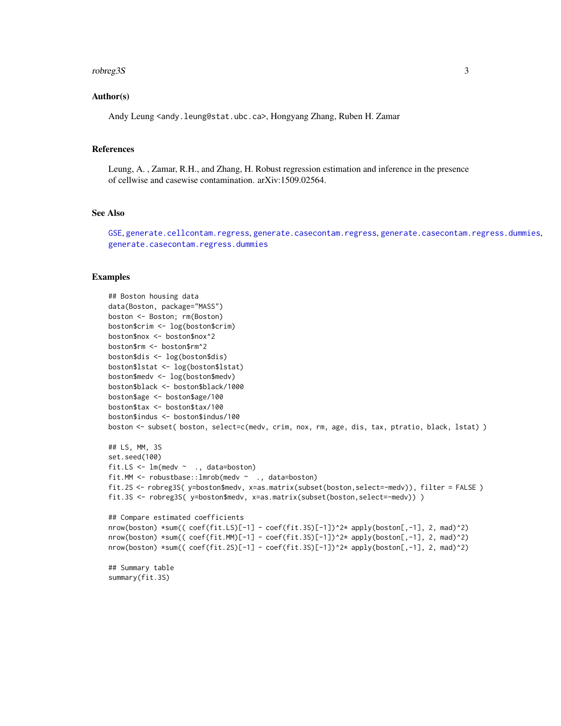#### <span id="page-2-0"></span>robreg3S 3

### Author(s)

Andy Leung <andy.leung@stat.ubc.ca>, Hongyang Zhang, Ruben H. Zamar

#### References

Leung, A. , Zamar, R.H., and Zhang, H. Robust regression estimation and inference in the presence of cellwise and casewise contamination. arXiv:1509.02564.

#### See Also

[GSE](#page-0-1), [generate.cellcontam.regress](#page-3-1), [generate.casecontam.regress](#page-3-1), [generate.casecontam.regress.dummies](#page-3-1), [generate.casecontam.regress.dummies](#page-3-1)

# Examples

```
## Boston housing data
data(Boston, package="MASS")
boston <- Boston; rm(Boston)
boston$crim <- log(boston$crim)
boston$nox <- boston$nox^2
boston$rm <- boston$rm^2
boston$dis <- log(boston$dis)
boston$lstat <- log(boston$lstat)
boston$medv <- log(boston$medv)
boston$black <- boston$black/1000
boston$age <- boston$age/100
boston$tax <- boston$tax/100
boston$indus <- boston$indus/100
boston <- subset( boston, select=c(medv, crim, nox, rm, age, dis, tax, ptratio, black, lstat) )
## LS, MM, 3S
set.seed(100)
fit.LS \leq lm(medv \sim ., data=boston)
fit.MM <- robustbase::lmrob(medv ~ ., data=boston)
fit.2S <- robreg3S( y=boston$medv, x=as.matrix(subset(boston,select=-medv)), filter = FALSE )
fit.3S <- robreg3S( y=boston$medv, x=as.matrix(subset(boston,select=-medv)) )
## Compare estimated coefficients
nrow(boston) *sum(( coef(fit.LS)[-1] - coef(fit.3S)[-1])^2* apply(boston[,-1], 2, mad)^2)
nrow(boston) *sum(( \text{coef}(\text{fit.M})[-1] - \text{coef}(\text{fit.3S})[-1])^2* apply(boston[,-1], 2, mad)^2)
nrow(boston) *sum( (coeffit.2S)[-1] - coef(fit.3S)[-1])^2* apply(boston[-,1], 2, mad)^2)## Summary table
summary(fit.3S)
```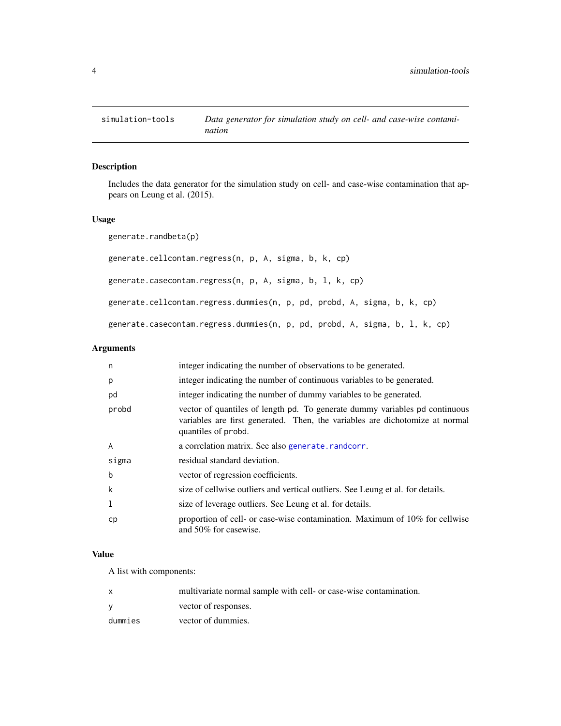<span id="page-3-0"></span>

# <span id="page-3-1"></span>Description

Includes the data generator for the simulation study on cell- and case-wise contamination that appears on Leung et al. (2015).

## Usage

generate.randbeta(p) generate.cellcontam.regress(n, p, A, sigma, b, k, cp) generate.casecontam.regress(n, p, A, sigma, b, l, k, cp) generate.cellcontam.regress.dummies(n, p, pd, probd, A, sigma, b, k, cp) generate.casecontam.regress.dummies(n, p, pd, probd, A, sigma, b, l, k, cp)

# Arguments

| n           | integer indicating the number of observations to be generated.                                                                                                                     |
|-------------|------------------------------------------------------------------------------------------------------------------------------------------------------------------------------------|
| p           | integer indicating the number of continuous variables to be generated.                                                                                                             |
| pd          | integer indicating the number of dummy variables to be generated.                                                                                                                  |
| probd       | vector of quantiles of length pd. To generate dummy variables pd continuous<br>variables are first generated. Then, the variables are dichotomize at normal<br>quantiles of probd. |
| A           | a correlation matrix. See also generate. randcorr.                                                                                                                                 |
| sigma       | residual standard deviation.                                                                                                                                                       |
| $\mathbf b$ | vector of regression coefficients.                                                                                                                                                 |
| k           | size of cellwise outliers and vertical outliers. See Leung et al. for details.                                                                                                     |
| 1           | size of leverage outliers. See Leung et al. for details.                                                                                                                           |
| сp          | proportion of cell- or case-wise contamination. Maximum of 10% for cellwise<br>and 50% for casewise.                                                                               |

# Value

A list with components:

|         | multivariate normal sample with cell- or case-wise contamination. |
|---------|-------------------------------------------------------------------|
|         | vector of responses.                                              |
| dummies | vector of dummies.                                                |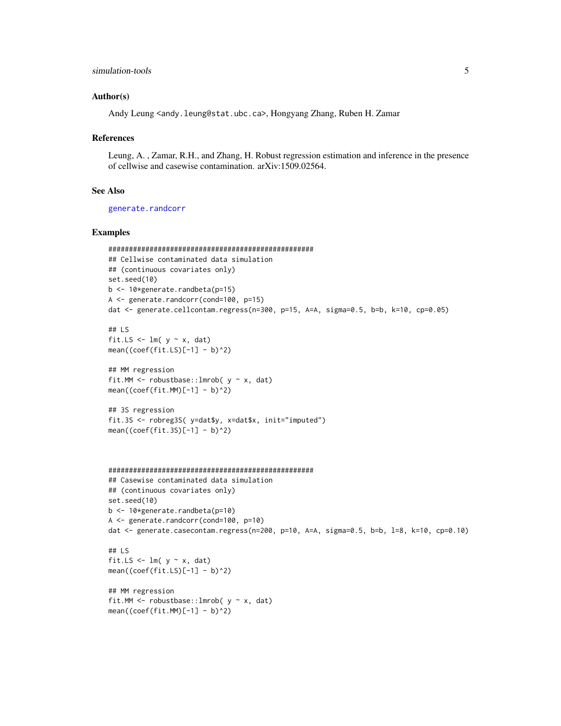## <span id="page-4-0"></span>simulation-tools 5

#### Author(s)

Andy Leung <andy.leung@stat.ubc.ca>, Hongyang Zhang, Ruben H. Zamar

#### References

Leung, A. , Zamar, R.H., and Zhang, H. Robust regression estimation and inference in the presence of cellwise and casewise contamination. arXiv:1509.02564.

# See Also

[generate.randcorr](#page-0-1)

#### Examples

```
##################################################
## Cellwise contaminated data simulation
## (continuous covariates only)
set.seed(10)
b <- 10*generate.randbeta(p=15)
A <- generate.randcorr(cond=100, p=15)
dat <- generate.cellcontam.regress(n=300, p=15, A=A, sigma=0.5, b=b, k=10, cp=0.05)
```

```
## LS
fit.LS \leq - \ln(y \sim x, \text{dat})mean((coeffit.LS)[-1] - b)^2)
```

```
## MM regression
fit.MM \leq robustbase:: lmrob(y \sim x, dat)
mean((coeffit.MM)[-1] - b)^2)
```

```
## 3S regression
fit.3S <- robreg3S( y=dat$y, x=dat$x, init="imputed")
mean((coef(fit.3S)[-1] - b)^2)
```

```
##################################################
## Casewise contaminated data simulation
```

```
## (continuous covariates only)
set.seed(10)
b <- 10*generate.randbeta(p=10)
A <- generate.randcorr(cond=100, p=10)
dat <- generate.casecontam.regress(n=200, p=10, A=A, sigma=0.5, b=b, l=8, k=10, cp=0.10)
```

```
## LS
fit.LS \leq -\ln(y \sim x, \text{dat})mean((coeffit.LS)[-1] - b)^2)
```

```
## MM regression
fit.MM <- robustbase::lmrob(y \sim x, dat)mean((coeffit.MM)[-1] - b)^2)
```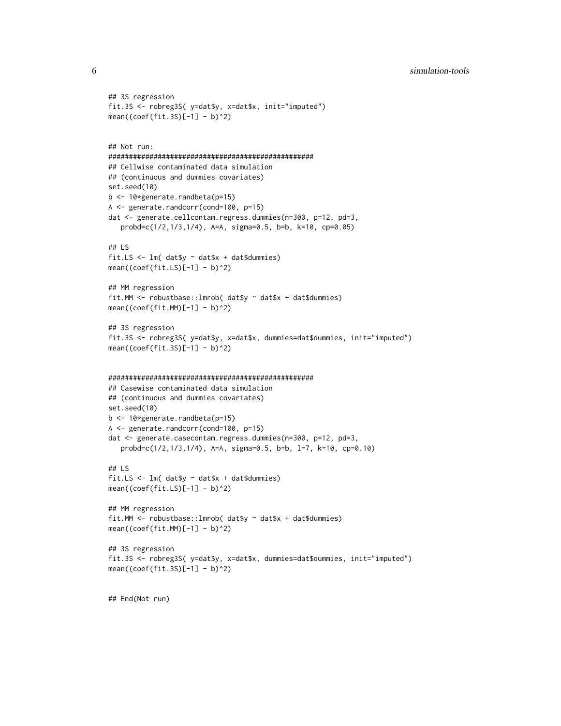```
## 3S regression
fit.3S <- robreg3S( y=dat$y, x=dat$x, init="imputed")
mean((coef(fit.3S)[-1] - b)^2)
## Not run:
##################################################
## Cellwise contaminated data simulation
## (continuous and dummies covariates)
set.seed(10)
b <- 10*generate.randbeta(p=15)
A <- generate.randcorr(cond=100, p=15)
dat <- generate.cellcontam.regress.dummies(n=300, p=12, pd=3,
   probd=c(1/2,1/3,1/4), A=A, sigma=0.5, b=b, k=10, cp=0.05)
## LS
fit.LS <- lm( dat$y ~ dat$x + dat$dummies)
mean((coeffit.LS)[-1] - b)^2)## MM regression
fit.MM <- robustbase::lmrob( dat$y ~ dat$x + dat$dummies)
mean((coeffit.MM)[-1] - b)^2)## 3S regression
fit.3S <- robreg3S( y=dat$y, x=dat$x, dummies=dat$dummies, init="imputed")
mean((coef(fit.3S)[-1] - b)^2)##################################################
## Casewise contaminated data simulation
## (continuous and dummies covariates)
set.seed(10)
b <- 10*generate.randbeta(p=15)
A <- generate.randcorr(cond=100, p=15)
dat <- generate.casecontam.regress.dummies(n=300, p=12, pd=3,
   probd=c(1/2,1/3,1/4), A=A, sigma=0.5, b=b, l=7, k=10, cp=0.10)
## LS
fit.LS <- lm( dat$y ~ dat$x + dat$dummies)
mean((coeffit.LS)[-1] - b)^2)## MM regression
fit.MM <- robustbase::lmrob( dat$y ~ dat$x + dat$dummies)
mean((coeffit.MM)[-1] - b)^2)## 3S regression
fit.3S <- robreg3S( y=dat$y, x=dat$x, dummies=dat$dummies, init="imputed")
mean((coef(fit.3S)[-1] - b)^2)## End(Not run)
```